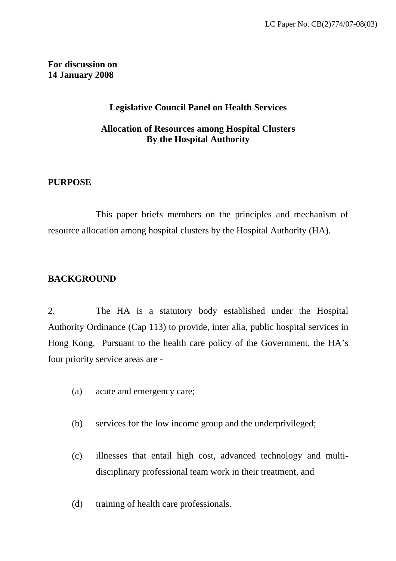## **For discussion on 14 January 2008**

# **Legislative Council Panel on Health Services**

# **Allocation of Resources among Hospital Clusters By the Hospital Authority**

## **PURPOSE**

This paper briefs members on the principles and mechanism of resource allocation among hospital clusters by the Hospital Authority (HA).

# **BACKGROUND**

2. The HA is a statutory body established under the Hospital Authority Ordinance (Cap 113) to provide, inter alia, public hospital services in Hong Kong. Pursuant to the health care policy of the Government, the HA's four priority service areas are -

- (a) acute and emergency care;
- (b) services for the low income group and the underprivileged;
- (c) illnesses that entail high cost, advanced technology and multidisciplinary professional team work in their treatment, and
- (d) training of health care professionals.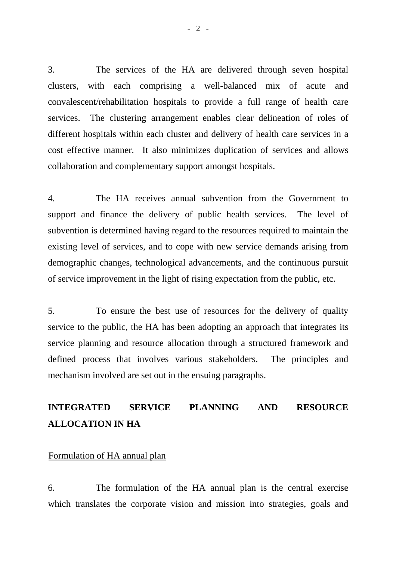3. The services of the HA are delivered through seven hospital clusters, with each comprising a well-balanced mix of acute and convalescent/rehabilitation hospitals to provide a full range of health care services. The clustering arrangement enables clear delineation of roles of different hospitals within each cluster and delivery of health care services in a cost effective manner. It also minimizes duplication of services and allows collaboration and complementary support amongst hospitals.

4. The HA receives annual subvention from the Government to support and finance the delivery of public health services. The level of subvention is determined having regard to the resources required to maintain the existing level of services, and to cope with new service demands arising from demographic changes, technological advancements, and the continuous pursuit of service improvement in the light of rising expectation from the public, etc.

5. To ensure the best use of resources for the delivery of quality service to the public, the HA has been adopting an approach that integrates its service planning and resource allocation through a structured framework and defined process that involves various stakeholders. The principles and mechanism involved are set out in the ensuing paragraphs.

# **INTEGRATED SERVICE PLANNING AND RESOURCE ALLOCATION IN HA**

#### Formulation of HA annual plan

6. The formulation of the HA annual plan is the central exercise which translates the corporate vision and mission into strategies, goals and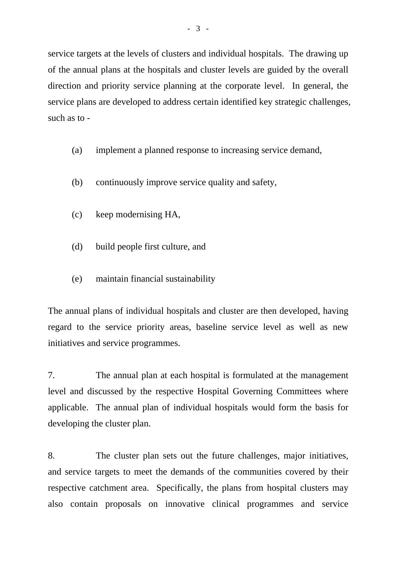service targets at the levels of clusters and individual hospitals. The drawing up of the annual plans at the hospitals and cluster levels are guided by the overall direction and priority service planning at the corporate level. In general, the service plans are developed to address certain identified key strategic challenges, such as to -

- (a) implement a planned response to increasing service demand,
- (b) continuously improve service quality and safety,
- (c) keep modernising HA,
- (d) build people first culture, and
- (e) maintain financial sustainability

The annual plans of individual hospitals and cluster are then developed, having regard to the service priority areas, baseline service level as well as new initiatives and service programmes.

7. The annual plan at each hospital is formulated at the management level and discussed by the respective Hospital Governing Committees where applicable. The annual plan of individual hospitals would form the basis for developing the cluster plan.

8. The cluster plan sets out the future challenges, major initiatives, and service targets to meet the demands of the communities covered by their respective catchment area. Specifically, the plans from hospital clusters may also contain proposals on innovative clinical programmes and service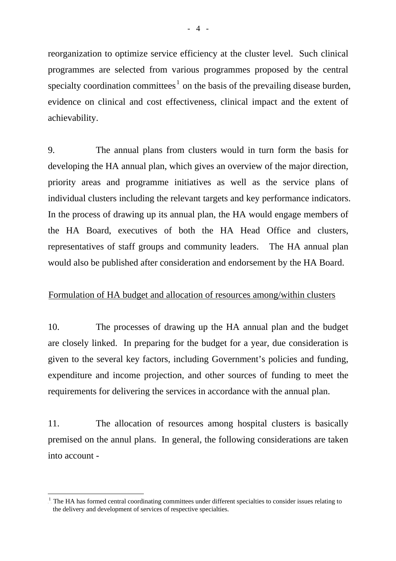reorganization to optimize service efficiency at the cluster level. Such clinical programmes are selected from various programmes proposed by the central specialty coordination committees<sup>[1](#page-3-0)</sup> on the basis of the prevailing disease burden, evidence on clinical and cost effectiveness, clinical impact and the extent of achievability.

9. The annual plans from clusters would in turn form the basis for developing the HA annual plan, which gives an overview of the major direction, priority areas and programme initiatives as well as the service plans of individual clusters including the relevant targets and key performance indicators. In the process of drawing up its annual plan, the HA would engage members of the HA Board, executives of both the HA Head Office and clusters, representatives of staff groups and community leaders. The HA annual plan would also be published after consideration and endorsement by the HA Board.

#### Formulation of HA budget and allocation of resources among/within clusters

10. The processes of drawing up the HA annual plan and the budget are closely linked. In preparing for the budget for a year, due consideration is given to the several key factors, including Government's policies and funding, expenditure and income projection, and other sources of funding to meet the requirements for delivering the services in accordance with the annual plan.

11. The allocation of resources among hospital clusters is basically premised on the annul plans. In general, the following considerations are taken into account -

 $\overline{a}$ 

<span id="page-3-0"></span> $1$ . The HA has formed central coordinating committees under different specialties to consider issues relating to the delivery and development of services of respective specialties.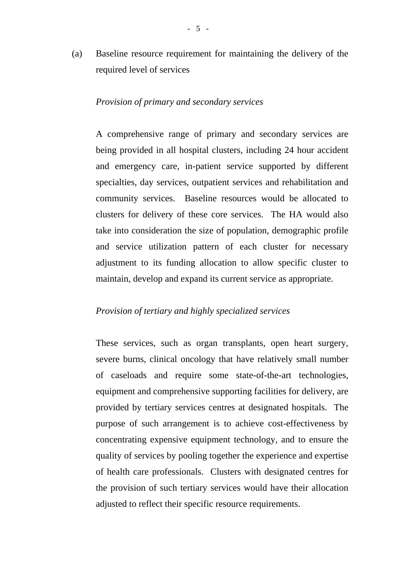(a) Baseline resource requirement for maintaining the delivery of the required level of services

#### *Provision of primary and secondary services*

A comprehensive range of primary and secondary services are being provided in all hospital clusters, including 24 hour accident and emergency care, in-patient service supported by different specialties, day services, outpatient services and rehabilitation and community services. Baseline resources would be allocated to clusters for delivery of these core services. The HA would also take into consideration the size of population, demographic profile and service utilization pattern of each cluster for necessary adjustment to its funding allocation to allow specific cluster to maintain, develop and expand its current service as appropriate.

#### *Provision of tertiary and highly specialized services*

These services, such as organ transplants, open heart surgery, severe burns, clinical oncology that have relatively small number of caseloads and require some state-of-the-art technologies, equipment and comprehensive supporting facilities for delivery, are provided by tertiary services centres at designated hospitals. The purpose of such arrangement is to achieve cost-effectiveness by concentrating expensive equipment technology, and to ensure the quality of services by pooling together the experience and expertise of health care professionals. Clusters with designated centres for the provision of such tertiary services would have their allocation adjusted to reflect their specific resource requirements.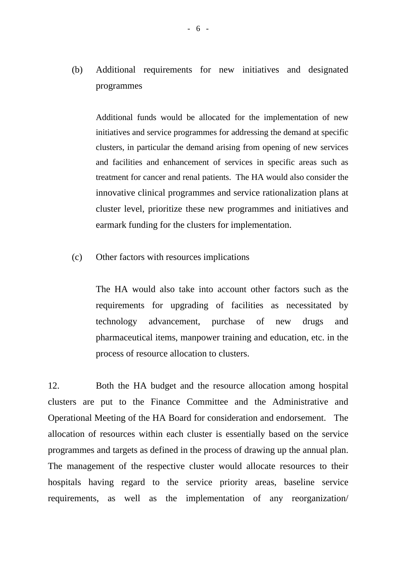(b) Additional requirements for new initiatives and designated programmes

 Additional funds would be allocated for the implementation of new initiatives and service programmes for addressing the demand at specific clusters, in particular the demand arising from opening of new services and facilities and enhancement of services in specific areas such as treatment for cancer and renal patients. The HA would also consider the innovative clinical programmes and service rationalization plans at cluster level, prioritize these new programmes and initiatives and earmark funding for the clusters for implementation.

(c) Other factors with resources implications

 The HA would also take into account other factors such as the requirements for upgrading of facilities as necessitated by technology advancement, purchase of new drugs and pharmaceutical items, manpower training and education, etc. in the process of resource allocation to clusters.

12. Both the HA budget and the resource allocation among hospital clusters are put to the Finance Committee and the Administrative and Operational Meeting of the HA Board for consideration and endorsement. The allocation of resources within each cluster is essentially based on the service programmes and targets as defined in the process of drawing up the annual plan. The management of the respective cluster would allocate resources to their hospitals having regard to the service priority areas, baseline service requirements, as well as the implementation of any reorganization/